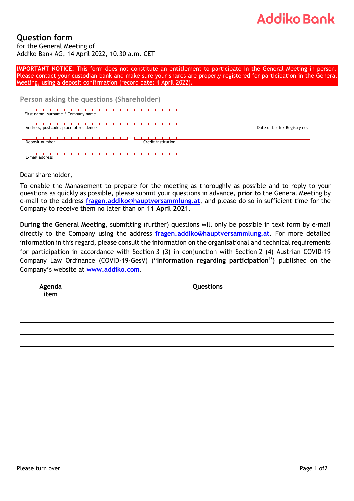## **Addiko Bank**

## **Question form**

for the General Meeting of Addiko Bank AG, 14 April 2022, 10.30 a.m. CET

**IMPORTANT NOTICE:** This form does not constitute an entitlement to participate in the General Meeting in person. Please contact your custodian bank and make sure your shares are properly registered for participation in the General Meeting, using a deposit confirmation (record date: 4 April 2022).

**Person asking the questions (Shareholder)**

| First name, surname / Company name    |                    |                              |
|---------------------------------------|--------------------|------------------------------|
| Address, postcode, place of residence |                    | Date of birth / Registry no. |
| Deposit number                        | Credit institution |                              |
| E-mail address                        |                    |                              |

Dear shareholder,

To enable the Management to prepare for the meeting as thoroughly as possible and to reply to your questions as quickly as possible, please submit your questions in advance, **prior to** the General Meeting by e-mail to the address **[fragen.addiko@hauptversammlung.at](mailto:fragen.addiko@hauptversammlung.at)**, and please do so in sufficient time for the Company to receive them no later than on **11 April 2021**.

**During the General Meeting,** submitting (further) questions will only be possible in text form by e-mail directly to the Company using the address **[fragen.addiko@hauptversammlung.at](mailto:fragen.addiko@hauptversammlung.at)**. For more detailed information in this regard, please consult the information on the organisational and technical requirements for participation in accordance with Section 3 (3) in conjunction with Section 2 (4) Austrian COVID-19 Company Law Ordinance (COVID-19-GesV) ("**Information regarding participation**") published on the Company's website at **[www.addiko.com](http://www.addiko.com/)**.

| Agenda<br>item | Questions |
|----------------|-----------|
|                |           |
|                |           |
|                |           |
|                |           |
|                |           |
|                |           |
|                |           |
|                |           |
|                |           |
|                |           |
|                |           |
|                |           |
|                |           |